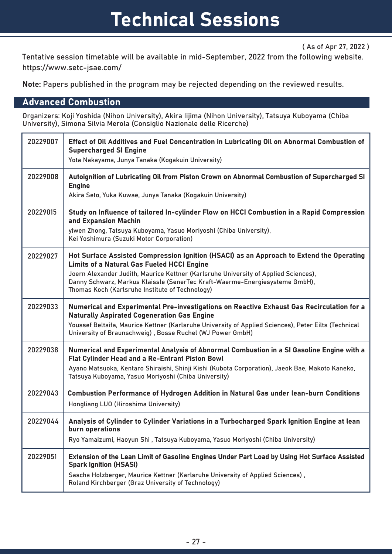( As of Apr 27, 2022 )

Tentative session timetable will be available in mid-September, 2022 from the following website. https://www.setc-jsae.com/

Note: Papers published in the program may be rejected depending on the reviewed results.

### Advanced Combustion

Organizers: Koji Yoshida (Nihon University), Akira Iijima (Nihon University), Tatsuya Kuboyama (Chiba University), Simona Silvia Merola (Consiglio Nazionale delle Ricerche)

| 20229007 | Effect of Oil Additives and Fuel Concentration in Lubricating Oil on Abnormal Combustion of<br><b>Supercharged SI Engine</b><br>Yota Nakayama, Junya Tanaka (Kogakuin University)                                                                                                                                                                                      |
|----------|------------------------------------------------------------------------------------------------------------------------------------------------------------------------------------------------------------------------------------------------------------------------------------------------------------------------------------------------------------------------|
| 20229008 | Autoignition of Lubricating Oil from Piston Crown on Abnormal Combustion of Supercharged SI<br><b>Engine</b><br>Akira Seto, Yuka Kuwae, Junya Tanaka (Kogakuin University)                                                                                                                                                                                             |
| 20229015 | Study on Influence of tailored In-cylinder Flow on HCCI Combustion in a Rapid Compression<br>and Expansion Machin<br>yiwen Zhong, Tatsuya Kuboyama, Yasuo Moriyoshi (Chiba University),<br>Kei Yoshimura (Suzuki Motor Corporation)                                                                                                                                    |
| 20229027 | Hot Surface Assisted Compression Ignition (HSACI) as an Approach to Extend the Operating<br><b>Limits of a Natural Gas Fueled HCCI Engine</b><br>Joern Alexander Judith, Maurice Kettner (Karlsruhe University of Applied Sciences),<br>Danny Schwarz, Markus Klaissle (SenerTec Kraft-Waerme-Energiesysteme GmbH),<br>Thomas Koch (Karlsruhe Institute of Technology) |
| 20229033 | Numerical and Experimental Pre-investigations on Reactive Exhaust Gas Recirculation for a<br><b>Naturally Aspirated Cogeneration Gas Engine</b><br>Youssef Beltaifa, Maurice Kettner (Karlsruhe University of Applied Sciences), Peter Eilts (Technical<br>University of Braunschweig), Bosse Ruchel (WJ Power GmbH)                                                   |
| 20229038 | Numerical and Experimental Analysis of Abnormal Combustion in a SI Gasoline Engine with a<br>Flat Cylinder Head and a Re-Entrant Piston Bowl<br>Ayano Matsuoka, Kentaro Shiraishi, Shinji Kishi (Kubota Corporation), Jaeok Bae, Makoto Kaneko,<br>Tatsuya Kuboyama, Yasuo Moriyoshi (Chiba University)                                                                |
| 20229043 | Combustion Performance of Hydrogen Addition in Natural Gas under lean-burn Conditions<br>Hongliang LUO (Hiroshima University)                                                                                                                                                                                                                                          |
| 20229044 | Analysis of Cylinder to Cylinder Variations in a Turbocharged Spark Ignition Engine at lean<br>burn operations<br>Ryo Yamaizumi, Haoyun Shi, Tatsuya Kuboyama, Yasuo Moriyoshi (Chiba University)                                                                                                                                                                      |
| 20229051 | Extension of the Lean Limit of Gasoline Engines Under Part Load by Using Hot Surface Assisted<br><b>Spark Ignition (HSASI)</b><br>Sascha Holzberger, Maurice Kettner (Karlsruhe University of Applied Sciences),<br>Roland Kirchberger (Graz University of Technology)                                                                                                 |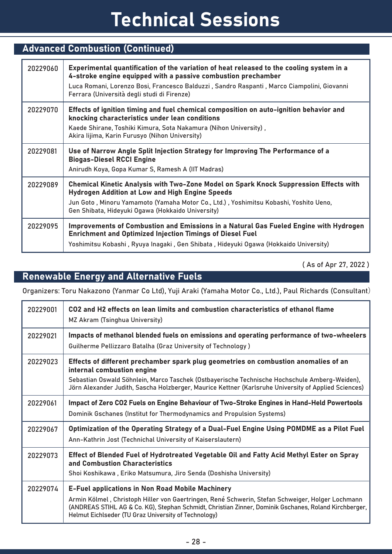| <b>Advanced Combustion (Continued)</b> |                                                                                                                                                                                                                                                                                                        |
|----------------------------------------|--------------------------------------------------------------------------------------------------------------------------------------------------------------------------------------------------------------------------------------------------------------------------------------------------------|
| 20229060                               | Experimental quantification of the variation of heat released to the cooling system in a<br>4-stroke engine equipped with a passive combustion prechamber<br>Luca Romani, Lorenzo Bosi, Francesco Balduzzi, Sandro Raspanti, Marco Ciampolini, Giovanni<br>Ferrara (Università degli studi di Firenze) |
| 20229070                               | Effects of ignition timing and fuel chemical composition on auto-ignition behavior and<br>knocking characteristics under lean conditions<br>Kaede Shirane, Toshiki Kimura, Sota Nakamura (Nihon University),<br>Akira lijima, Karin Furusyo (Nihon University)                                         |
| 20229081                               | Use of Narrow Angle Split Injection Strategy for Improving The Performance of a<br><b>Biogas-Diesel RCCI Engine</b><br>Anirudh Koya, Gopa Kumar S, Ramesh A (IIT Madras)                                                                                                                               |
| 20229089                               | Chemical Kinetic Analysis with Two-Zone Model on Spark Knock Suppression Effects with<br><b>Hydrogen Addition at Low and High Engine Speeds</b><br>Jun Goto, Minoru Yamamoto (Yamaha Motor Co., Ltd.), Yoshimitsu Kobashi, Yoshito Ueno,<br>Gen Shibata, Hideyuki Ogawa (Hokkaido University)          |
| 20229095                               | Improvements of Combustion and Emissions in a Natural Gas Fueled Engine with Hydrogen<br><b>Enrichment and Optimized Injection Timings of Diesel Fuel</b><br>Yoshimitsu Kobashi , Ryuya Inagaki , Gen Shibata , Hideyuki Ogawa (Hokkaido University)                                                   |

( As of Apr 27, 2022 )

### Renewable Energy and Alternative Fuels

Organizers: Toru Nakazono (Yanmar Co Ltd), Yuji Araki (Yamaha Motor Co., Ltd.), Paul Richards (Consultant)

| 20229001 | CO2 and H2 effects on lean limits and combustion characteristics of ethanol flame<br>MZ Akram (Tsinghua University)                                                                                                                                                                                                          |
|----------|------------------------------------------------------------------------------------------------------------------------------------------------------------------------------------------------------------------------------------------------------------------------------------------------------------------------------|
| 20229021 | Impacts of methanol blended fuels on emissions and operating performance of two-wheelers<br>Guilherme Pellizzaro Batalha (Graz University of Technology)                                                                                                                                                                     |
| 20229023 | Effects of different prechamber spark plug geometries on combustion anomalies of an<br>internal combustion engine<br>Sebastian Oswald Söhnlein, Marco Taschek (Ostbayerische Technische Hochschule Amberg-Weiden),<br>Jörn Alexander Judith, Sascha Holzberger, Maurice Kettner (Karlsruhe University of Applied Sciences)   |
| 20229061 | Impact of Zero CO2 Fuels on Engine Behaviour of Two-Stroke Engines in Hand-Held Powertools<br>Dominik Gschanes (Institut for Thermodynamics and Propulsion Systems)                                                                                                                                                          |
| 20229067 | Optimization of the Operating Strategy of a Dual-Fuel Engine Using POMDME as a Pilot Fuel<br>Ann-Kathrin Jost (Technichal University of Kaiserslautern)                                                                                                                                                                      |
| 20229073 | Effect of Blended Fuel of Hydrotreated Vegetable Oil and Fatty Acid Methyl Ester on Spray<br>and Combustion Characteristics<br>Shoi Koshikawa, Eriko Matsumura, Jiro Senda (Doshisha University)                                                                                                                             |
| 20229074 | <b>E-Fuel applications in Non Road Mobile Machinery</b><br>Armin Kölmel, Christoph Hiller von Gaertringen, René Schwerin, Stefan Schweiger, Holger Lochmann<br>(ANDREAS STIHL AG & Co. KG), Stephan Schmidt, Christian Zinner, Dominik Gschanes, Roland Kirchberger,<br>Helmut Eichlseder (TU Graz University of Technology) |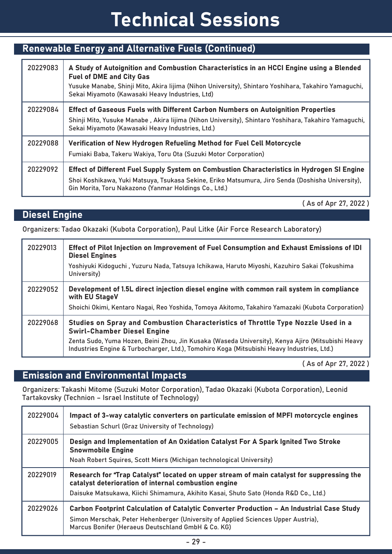## Renewable Energy and Alternative Fuels (Continued)

| 20229083 | A Study of Autoignition and Combustion Characteristics in an HCCI Engine using a Blended<br><b>Fuel of DME and City Gas</b><br>Yusuke Manabe, Shinji Mito, Akira lijima (Nihon University), Shintaro Yoshihara, Takahiro Yamaguchi,<br>Sekai Miyamoto (Kawasaki Heavy Industries, Ltd) |
|----------|----------------------------------------------------------------------------------------------------------------------------------------------------------------------------------------------------------------------------------------------------------------------------------------|
| 20229084 | Effect of Gaseous Fuels with Different Carbon Numbers on Autoignition Properties                                                                                                                                                                                                       |
|          | Shinji Mito, Yusuke Manabe, Akira lijima (Nihon University), Shintaro Yoshihara, Takahiro Yamaguchi,<br>Sekai Miyamoto (Kawasaki Heavy Industries, Ltd.)                                                                                                                               |
| 20229088 | Verification of New Hydrogen Refueling Method for Fuel Cell Motorcycle                                                                                                                                                                                                                 |
|          | Fumiaki Baba, Takeru Wakiya, Toru Ota (Suzuki Motor Corporation)                                                                                                                                                                                                                       |
| 20229092 | Effect of Different Fuel Supply System on Combustion Characteristics in Hydrogen SI Engine                                                                                                                                                                                             |
|          | Shoi Koshikawa, Yuki Matsuya, Tsukasa Sekine, Eriko Matsumura, Jiro Senda (Doshisha University),<br>Gin Morita, Toru Nakazono (Yanmar Holdings Co., Ltd.)                                                                                                                              |

( As of Apr 27, 2022 )

### Diesel Engine

Organizers: Tadao Okazaki (Kubota Corporation), Paul Litke (Air Force Research Laboratory)

| 20229013 | Effect of Pilot Injection on Improvement of Fuel Consumption and Exhaust Emissions of IDI<br><b>Diesel Engines</b><br>Yoshiyuki Kidoguchi, Yuzuru Nada, Tatsuya Ichikawa, Haruto Miyoshi, Kazuhiro Sakai (Tokushima<br>University)                                                                                         |
|----------|----------------------------------------------------------------------------------------------------------------------------------------------------------------------------------------------------------------------------------------------------------------------------------------------------------------------------|
| 20229052 | Development of 1.5L direct injection diesel engine with common rail system in compliance<br>with EU StageV<br>Shoichi Okimi, Kentaro Nagai, Reo Yoshida, Tomoya Akitomo, Takahiro Yamazaki (Kubota Corporation)                                                                                                            |
| 20229068 | Studies on Spray and Combustion Characteristics of Throttle Type Nozzle Used in a<br><b>Swirl-Chamber Diesel Engine</b><br>Zenta Sudo, Yuma Hozen, Beini Zhou, Jin Kusaka (Waseda University), Kenya Ajiro (Mitsubishi Heavy<br>Industries Engine & Turbocharger, Ltd.), Tomohiro Koga (Mitsubishi Heavy Industries, Ltd.) |

( As of Apr 27, 2022 )

### Emission and Environmental Impacts

Organizers: Takashi Mitome (Suzuki Motor Corporation), Tadao Okazaki (Kubota Corporation), Leonid Tartakovsky (Technion – Israel Institute of Technology)

| 20229004 | Impact of 3-way catalytic converters on particulate emission of MPFI motorcycle engines<br>Sebastian Schurl (Graz University of Technology)                                                                                               |
|----------|-------------------------------------------------------------------------------------------------------------------------------------------------------------------------------------------------------------------------------------------|
| 20229005 | Design and Implementation of An Oxidation Catalyst For A Spark Ignited Two Stroke<br><b>Snowmobile Engine</b><br>Noah Robert Squires, Scott Miers (Michigan technological University)                                                     |
| 20229019 | Research for "Trap Catalyst" located on upper stream of main catalyst for suppressing the<br>catalyst deterioration of internal combustion engine<br>Daisuke Matsukawa, Kiichi Shimamura, Akihito Kasai, Shuto Sato (Honda R&D Co., Ltd.) |
| 20229026 | Carbon Footprint Calculation of Catalytic Converter Production - An Industrial Case Study<br>Simon Merschak, Peter Hehenberger (University of Applied Sciences Upper Austria),<br>Marcus Bonifer (Heraeus Deutschland GmbH & Co. KG)      |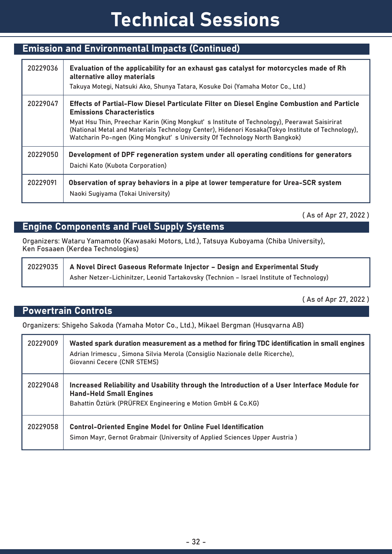### Emission and Environmental Impacts (Continued)

| 20229036 | Evaluation of the applicability for an exhaust gas catalyst for motorcycles made of Rh<br>alternative alloy materials<br>Takuya Motegi, Natsuki Ako, Shunya Tatara, Kosuke Doi (Yamaha Motor Co., Ltd.)                                                                                                                                                                                                          |
|----------|------------------------------------------------------------------------------------------------------------------------------------------------------------------------------------------------------------------------------------------------------------------------------------------------------------------------------------------------------------------------------------------------------------------|
| 20229047 | Effects of Partial-Flow Diesel Particulate Filter on Diesel Engine Combustion and Particle<br><b>Emissions Characteristics</b><br>Myat Hsu Thin, Preechar Karin (King Mongkut's Institute of Technology), Peerawat Saisirirat<br>(National Metal and Materials Technology Center), Hidenori Kosaka (Tokyo Institute of Technology),<br>Watcharin Po-ngen (King Mongkut's University Of Technology North Bangkok) |
| 20229050 | Development of DPF regeneration system under all operating conditions for generators<br>Daichi Kato (Kubota Corporation)                                                                                                                                                                                                                                                                                         |
| 20229091 | Observation of spray behaviors in a pipe at lower temperature for Urea-SCR system<br>Naoki Sugiyama (Tokai University)                                                                                                                                                                                                                                                                                           |

( As of Apr 27, 2022 )

### Engine Components and Fuel Supply Systems

Organizers: Wataru Yamamoto (Kawasaki Motors, Ltd.), Tatsuya Kuboyama (Chiba University), Ken Fosaaen (Kerdea Technologies)

| 20229035   A Novel Direct Gaseous Reformate Injector - Design and Experimental Study     |
|------------------------------------------------------------------------------------------|
| Asher Netzer-Lichinitzer, Leonid Tartakovsky (Technion - Israel Institute of Technology) |

( As of Apr 27, 2022 )

#### Powertrain Controls

Organizers: Shigeho Sakoda (Yamaha Motor Co., Ltd.), Mikael Bergman (Husqvarna AB)

| 20229009 | Wasted spark duration measurement as a method for firing TDC identification in small engines<br>Adrian Irimescu, Simona Silvia Merola (Consiglio Nazionale delle Ricerche),<br>Giovanni Cecere (CNR STEMS) |
|----------|------------------------------------------------------------------------------------------------------------------------------------------------------------------------------------------------------------|
| 20229048 | Increased Reliability and Usability through the Introduction of a User Interface Module for<br><b>Hand-Held Small Engines</b><br>Bahattin Öztürk (PRÜFREX Engineering e Motion GmbH & Co.KG)               |
| 20229058 | <b>Control-Oriented Engine Model for Online Fuel Identification</b><br>Simon Mayr, Gernot Grabmair (University of Applied Sciences Upper Austria)                                                          |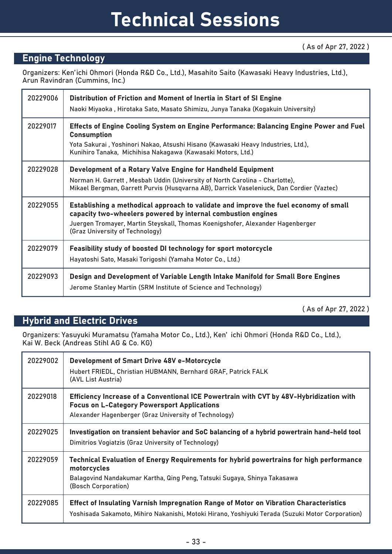### Engine Technology

Organizers: Ken'ichi Ohmori (Honda R&D Co., Ltd.), Masahito Saito (Kawasaki Heavy Industries, Ltd.), Arun Ravindran (Cummins, Inc.)

| 20229006 | Distribution of Friction and Moment of Inertia in Start of SI Engine<br>Naoki Miyaoka , Hirotaka Sato, Masato Shimizu, Junya Tanaka (Kogakuin University)                                                                                                                 |
|----------|---------------------------------------------------------------------------------------------------------------------------------------------------------------------------------------------------------------------------------------------------------------------------|
| 20229017 | Effects of Engine Cooling System on Engine Performance: Balancing Engine Power and Fuel<br><b>Consumption</b><br>Yota Sakurai , Yoshinori Nakao, Atsushi Hisano (Kawasaki Heavy Industries, Ltd.),<br>Kunihiro Tanaka, Michihisa Nakagawa (Kawasaki Motors, Ltd.)         |
| 20229028 | Development of a Rotary Valve Engine for Handheld Equipment<br>Norman H. Garrett, Mesbah Uddin (University of North Carolina - Charlotte),<br>Mikael Bergman, Garrett Purvis (Husqvarna AB), Darrick Vaseleniuck, Dan Cordier (Vaztec)                                    |
| 20229055 | Establishing a methodical approach to validate and improve the fuel economy of small<br>capacity two-wheelers powered by internal combustion engines<br>Juergen Tromayer, Martin Steyskall, Thomas Koenigshofer, Alexander Hagenberger<br>(Graz University of Technology) |
| 20229079 | Feasibility study of boosted DI technology for sport motorcycle<br>Hayatoshi Sato, Masaki Torigoshi (Yamaha Motor Co., Ltd.)                                                                                                                                              |
| 20229093 | Design and Development of Variable Length Intake Manifold for Small Bore Engines<br>Jerome Stanley Martin (SRM Institute of Science and Technology)                                                                                                                       |

( As of Apr 27, 2022 )

### Hybrid and Electric Drives

Organizers: Yasuyuki Muramatsu (Yamaha Motor Co., Ltd.), Ken' ichi Ohmori (Honda R&D Co., Ltd.), Kai W. Beck (Andreas Stihl AG & Co. KG)

| 20229002 | <b>Development of Smart Drive 48V e-Motorcycle</b><br>Hubert FRIEDL, Christian HUBMANN, Bernhard GRAF, Patrick FALK<br>(AVL List Austria)                                                                 |
|----------|-----------------------------------------------------------------------------------------------------------------------------------------------------------------------------------------------------------|
| 20229018 | Efficiency Increase of a Conventional ICE Powertrain with CVT by 48V-Hybridization with<br><b>Focus on L-Category Powersport Applications</b><br>Alexander Hagenberger (Graz University of Technology)    |
| 20229025 | Investigation on transient behavior and SoC balancing of a hybrid powertrain hand-held tool<br>Dimitrios Vogiatzis (Graz University of Technology)                                                        |
| 20229059 | Technical Evaluation of Energy Requirements for hybrid powertrains for high performance<br>motorcycles<br>Balagovind Nandakumar Kartha, Qing Peng, Tatsuki Sugaya, Shinya Takasawa<br>(Bosch Corporation) |
| 20229085 | Effect of Insulating Varnish Impregnation Range of Motor on Vibration Characteristics<br>Yoshisada Sakamoto, Mihiro Nakanishi, Motoki Hirano, Yoshiyuki Terada (Suzuki Motor Corporation)                 |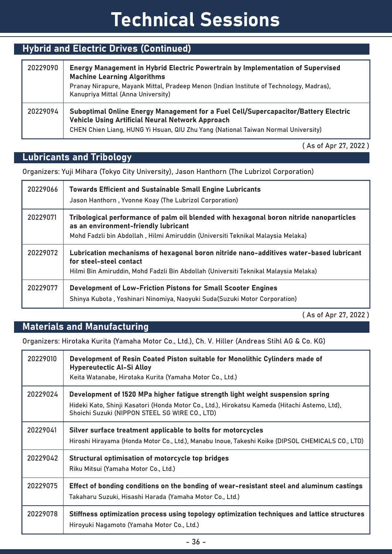## Hybrid and Electric Drives (Continued)

| 20229090 | Energy Management in Hybrid Electric Powertrain by Implementation of Supervised<br><b>Machine Learning Algorithms</b><br>Pranay Nirapure, Mayank Mittal, Pradeep Menon (Indian Institute of Technology, Madras),<br>Kanupriya Mittal (Anna University) |
|----------|--------------------------------------------------------------------------------------------------------------------------------------------------------------------------------------------------------------------------------------------------------|
| 20229094 | Suboptimal Online Energy Management for a Fuel Cell/Supercapacitor/Battery Electric<br><b>Vehicle Using Artificial Neural Network Approach</b><br>CHEN Chien Liang, HUNG Yi Hsuan, QIU Zhu Yang (National Taiwan Normal University)                    |

( As of Apr 27, 2022 )

## Lubricants and Tribology

Organizers: Yuji Mihara (Tokyo City University), Jason Hanthorn (The Lubrizol Corporation)

| 20229066 | <b>Towards Efficient and Sustainable Small Engine Lubricants</b><br>Jason Hanthorn, Yvonne Koay (The Lubrizol Corporation)                                                                                         |
|----------|--------------------------------------------------------------------------------------------------------------------------------------------------------------------------------------------------------------------|
| 20229071 | Tribological performance of palm oil blended with hexagonal boron nitride nanoparticles<br>as an environment-friendly lubricant<br>Mohd Fadzli bin Abdollah, Hilmi Amiruddin (Universiti Teknikal Malaysia Melaka) |
| 20229072 | Lubrication mechanisms of hexagonal boron nitride nano-additives water-based lubricant<br>for steel-steel contact<br>Hilmi Bin Amiruddin, Mohd Fadzli Bin Abdollah (Universiti Teknikal Malaysia Melaka)           |
| 20229077 | <b>Development of Low-Friction Pistons for Small Scooter Engines</b><br>Shinya Kubota, Yoshinari Ninomiya, Naoyuki Suda(Suzuki Motor Corporation)                                                                  |

( As of Apr 27, 2022 )

### Materials and Manufacturing

Organizers: Hirotaka Kurita (Yamaha Motor Co., Ltd.), Ch. V. Hiller (Andreas Stihl AG & Co. KG)

| 20229010 | Development of Resin Coated Piston suitable for Monolithic Cylinders made of<br><b>Hypereutectic Al-Si Alloy</b><br>Keita Watanabe, Hirotaka Kurita (Yamaha Motor Co., Ltd.)                                                      |
|----------|-----------------------------------------------------------------------------------------------------------------------------------------------------------------------------------------------------------------------------------|
| 20229024 | Development of 1520 MPa higher fatigue strength light weight suspension spring<br>Hideki Kato, Shinji Kasatori (Honda Motor Co., Ltd.), Hirokatsu Kameda (Hitachi Astemo, Ltd),<br>Shoichi Suzuki (NIPPON STEEL SG WIRE CO., LTD) |
| 20229041 | Silver surface treatment applicable to bolts for motorcycles<br>Hiroshi Hirayama (Honda Motor Co., Ltd.), Manabu Inoue, Takeshi Koike (DIPSOL CHEMICALS CO., LTD)                                                                 |
| 20229042 | Structural optimisation of motorcycle top bridges<br>Riku Mitsui (Yamaha Motor Co., Ltd.)                                                                                                                                         |
| 20229075 | Effect of bonding conditions on the bonding of wear-resistant steel and aluminum castings<br>Takaharu Suzuki, Hisashi Harada (Yamaha Motor Co., Ltd.)                                                                             |
| 20229078 | Stiffness optimization process using topology optimization techniques and lattice structures<br>Hiroyuki Nagamoto (Yamaha Motor Co., Ltd.)                                                                                        |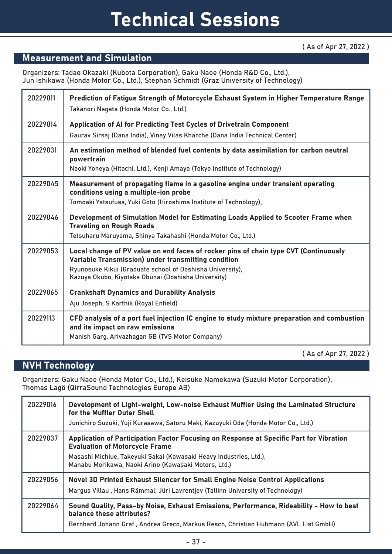### Measurement and Simulation

Organizers: Tadao Okazaki (Kubota Corporation), Gaku Naoe (Honda R&D Co., Ltd.), Jun Ishikawa (Honda Motor Co., Ltd.), Stephan Schmidt (Graz University of Technology)

| 20229011 | Prediction of Fatigue Strength of Motorcycle Exhaust System in Higher Temperature Range<br>Takanori Nagata (Honda Motor Co., Ltd.)                                                                                                                              |
|----------|-----------------------------------------------------------------------------------------------------------------------------------------------------------------------------------------------------------------------------------------------------------------|
| 20229014 | Application of AI for Predicting Test Cycles of Drivetrain Component<br>Gaurav Sirsaj (Dana India), Vinay Vilas Kharche (Dana India Technical Center)                                                                                                           |
| 20229031 | An estimation method of blended fuel contents by data assimilation for carbon neutral<br>powertrain<br>Naoki Yoneya (Hitachi, Ltd.), Kenji Amaya (Tokyo Institute of Technology)                                                                                |
| 20229045 | Measurement of propagating flame in a gasoline engine under transient operating<br>conditions using a multiple-ion probe<br>Tomoaki Yatsufusa, Yuki Goto (Hiroshima Institute of Technology),                                                                   |
| 20229046 | Development of Simulation Model for Estimating Loads Applied to Scooter Frame when<br><b>Traveling on Rough Roads</b><br>Tetsuharu Maruyama, Shinya Takahashi (Honda Motor Co., Ltd.)                                                                           |
| 20229053 | Local change of PV value on end faces of rocker pins of chain type CVT (Continuously<br>Variable Transmission) under transmitting condition<br>Ryunosuke Kikui (Graduate school of Doshisha University),<br>Kazuya Okubo, Kiyotaka Obunai (Doshisha University) |
| 20229065 | <b>Crankshaft Dynamics and Durability Analysis</b><br>Aju Joseph, S Karthik (Royal Enfield)                                                                                                                                                                     |
| 20229113 | CFD analysis of a port fuel injection IC engine to study mixture preparation and combustion<br>and its impact on raw emissions<br>Manish Garg, Arivazhagan GB (TVS Motor Company)                                                                               |

( As of Apr 27, 2022 )

### NVH Technology

Organizers: Gaku Naoe (Honda Motor Co., Ltd.), Keisuke Namekawa (Suzuki Motor Corporation), Thomas Lagö (QirraSound Technologies Europe AB)

| 20229016 | Development of Light-weight, Low-noise Exhaust Muffler Using the Laminated Structure<br>for the Muffler Outer Shell<br>Junichiro Suzuki, Yuji Kurasawa, Satoru Maki, Kazuyuki Oda (Honda Motor Co., Ltd.)                                                      |
|----------|----------------------------------------------------------------------------------------------------------------------------------------------------------------------------------------------------------------------------------------------------------------|
| 20229037 | Application of Participation Factor Focusing on Response at Specific Part for Vibration<br><b>Evaluation of Motorcycle Frame</b><br>Masashi Michiue, Takeyuki Sakai (Kawasaki Heavy Industries, Ltd.),<br>Manabu Morikawa, Naoki Arino (Kawasaki Motors, Ltd.) |
| 20229056 | Novel 3D Printed Exhaust Silencer for Small Engine Noise Control Applications<br>Margus Villau, Hans Rämmal, Jüri Lavrentjev (Tallinn University of Technology)                                                                                                |
| 20229064 | Sound Quality, Pass-by Noise, Exhaust Emissions, Performance, Rideability - How to best<br>balance these attributes?<br>Bernhard Johann Graf, Andrea Greco, Markus Resch, Christian Hubmann (AVL List GmbH)                                                    |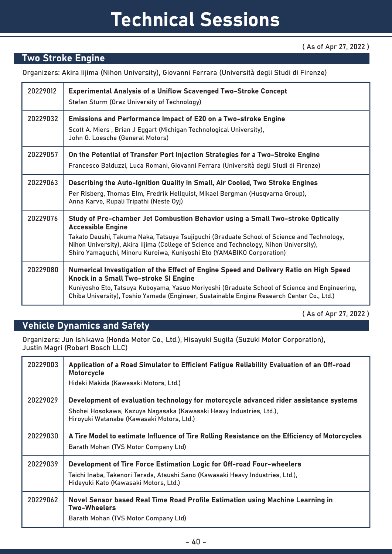#### ( As of Apr 27, 2022 )

### Two Stroke Engine

Organizers: Akira Iijima (Nihon University), Giovanni Ferrara (Università degli Studi di Firenze)

| 20229012 | <b>Experimental Analysis of a Uniflow Scavenged Two-Stroke Concept</b><br>Stefan Sturm (Graz University of Technology)                                                                                                                                                                                                                                                       |
|----------|------------------------------------------------------------------------------------------------------------------------------------------------------------------------------------------------------------------------------------------------------------------------------------------------------------------------------------------------------------------------------|
| 20229032 | <b>Emissions and Performance Impact of E20 on a Two-stroke Engine</b><br>Scott A. Miers, Brian J Eggart (Michigan Technological University),<br>John G. Loesche (General Motors)                                                                                                                                                                                             |
| 20229057 | On the Potential of Transfer Port Injection Strategies for a Two-Stroke Engine<br>Francesco Balduzzi, Luca Romani, Giovanni Ferrara (Università degli Studi di Firenze)                                                                                                                                                                                                      |
| 20229063 | Describing the Auto-Ignition Quality in Small, Air Cooled, Two Stroke Engines<br>Per Risberg, Thomas Elm, Fredrik Hellquist, Mikael Bergman (Husqvarna Group),<br>Anna Karvo, Rupali Tripathi (Neste Oyj)                                                                                                                                                                    |
| 20229076 | Study of Pre-chamber Jet Combustion Behavior using a Small Two-stroke Optically<br><b>Accessible Engine</b><br>Takato Deushi, Takuma Naka, Tatsuya Tsujiguchi (Graduate School of Science and Technology,<br>Nihon University), Akira lijima (College of Science and Technology, Nihon University),<br>Shiro Yamaguchi, Minoru Kuroiwa, Kuniyoshi Eto (YAMABIKO Corporation) |
| 20229080 | Numerical Investigation of the Effect of Engine Speed and Delivery Ratio on High Speed<br>Knock in a Small Two-stroke SI Engine<br>Kuniyosho Eto, Tatsuya Kuboyama, Yasuo Moriyoshi (Graduate School of Science and Engineering,<br>Chiba University), Toshio Yamada (Engineer, Sustainable Engine Research Center Co., Ltd.)                                                |

( As of Apr 27, 2022 )

### Vehicle Dynamics and Safety

Organizers: Jun Ishikawa (Honda Motor Co., Ltd.), Hisayuki Sugita (Suzuki Motor Corporation), Justin Magri (Robert Bosch LLC)

| 20229003 | Application of a Road Simulator to Efficient Fatigue Reliability Evaluation of an Off-road<br><b>Motorcycle</b><br>Hideki Makida (Kawasaki Motors, Ltd.)                                                  |
|----------|-----------------------------------------------------------------------------------------------------------------------------------------------------------------------------------------------------------|
| 20229029 | Development of evaluation technology for motorcycle advanced rider assistance systems<br>Shohei Hosokawa, Kazuya Nagasaka (Kawasaki Heavy Industries, Ltd.),<br>Hiroyuki Watanabe (Kawasaki Motors, Ltd.) |
| 20229030 | A Tire Model to estimate Influence of Tire Rolling Resistance on the Efficiency of Motorcycles<br>Barath Mohan (TVS Motor Company Ltd)                                                                    |
| 20229039 | Development of Tire Force Estimation Logic for Off-road Four-wheelers<br>Taichi Inaba, Takenori Terada, Atsushi Sano (Kawasaki Heavy Industries, Ltd.),<br>Hideyuki Kato (Kawasaki Motors, Ltd.)          |
| 20229062 | Novel Sensor based Real Time Road Profile Estimation using Machine Learning in<br><b>Two-Wheelers</b><br>Barath Mohan (TVS Motor Company Ltd)                                                             |